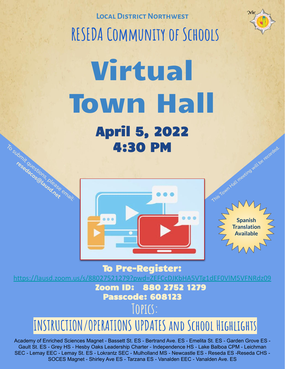**Local District Northwest RESEDA Community of Schools**

# Virtual Town Hall April 5, 2022 4:30 PM This Town Hall meeting will be recorded. To submit questions, please email: **resedacos@lausd.net**



**Spanish Translation Available**

To Pre-Register:

<https://lausd.zoom.us/s/88027521279?pwd=ZEFCcDJKbHA5VTg1dEF0VlM5VFNRdz09> Zoom ID: 880 2752 1279

### Passcode: 608123

### **Topics:**

# **INSTRUCTION/OPERATIONS UPDATES and School Highlights**

Academy of Enriched Sciences Magnet - Bassett St. ES - Bertrand Ave. ES - Emelita St. ES - Garden Grove ES - Gault St. ES - Grey HS - Hesby Oaks Leadership Charter - Independence HS - Lake Balboa CPM - Leichman SEC - Lemay EEC - Lemay St. ES - Lokrantz SEC - Mulholland MS - Newcastle ES - Reseda ES -Reseda CHS - SOCES Magnet - Shirley Ave ES - Tarzana ES - Vanalden EEC - Vanalden Ave. ES